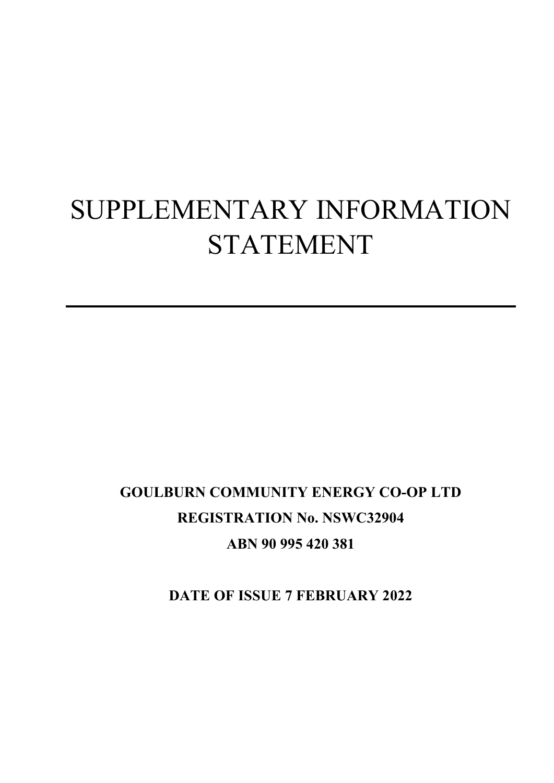# SUPPLEMENTARY INFORMATION STATEMENT

## **GOULBURN COMMUNITY ENERGY CO-OP LTD REGISTRATION No. NSWC32904 ABN 90 995 420 381**

**DATE OF ISSUE 7 FEBRUARY 2022**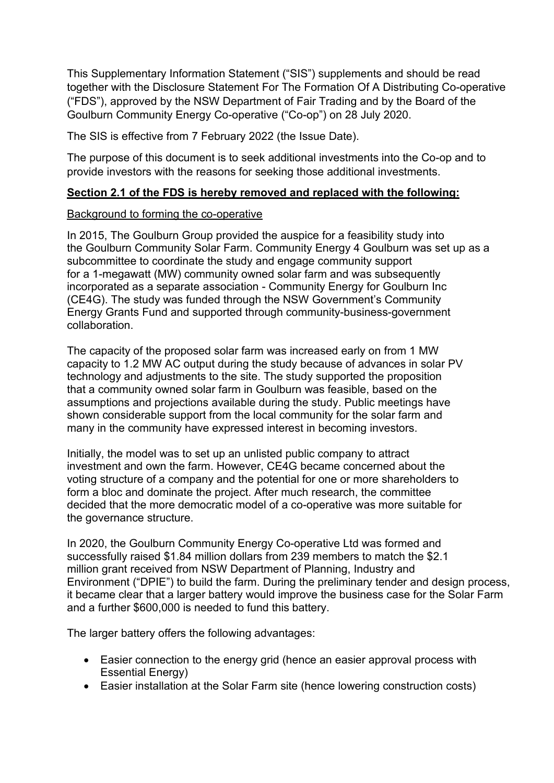This Supplementary Information Statement ("SIS") supplements and should be read together with the Disclosure Statement For The Formation Of A Distributing Co-operative ("FDS"), approved by the NSW Department of Fair Trading and by the Board of the Goulburn Community Energy Co-operative ("Co-op") on 28 July 2020.

The SIS is effective from 7 February 2022 (the Issue Date).

The purpose of this document is to seek additional investments into the Co-op and to provide investors with the reasons for seeking those additional investments.

#### **Section 2.1 of the FDS is hereby removed and replaced with the following:**

#### Background to forming the co-operative

In 2015, The Goulburn Group provided the auspice for a feasibility study into the Goulburn Community Solar Farm. Community Energy 4 Goulburn was set up as a subcommittee to coordinate the study and engage community support for a 1-megawatt (MW) community owned solar farm and was subsequently incorporated as a separate association - Community Energy for Goulburn Inc (CE4G). The study was funded through the NSW Government's Community Energy Grants Fund and supported through community-business-government collaboration.

The capacity of the proposed solar farm was increased early on from 1 MW capacity to 1.2 MW AC output during the study because of advances in solar PV technology and adjustments to the site. The study supported the proposition that a community owned solar farm in Goulburn was feasible, based on the assumptions and projections available during the study. Public meetings have shown considerable support from the local community for the solar farm and many in the community have expressed interest in becoming investors.

Initially, the model was to set up an unlisted public company to attract investment and own the farm. However, CE4G became concerned about the voting structure of a company and the potential for one or more shareholders to form a bloc and dominate the project. After much research, the committee decided that the more democratic model of a co-operative was more suitable for the governance structure.

In 2020, the Goulburn Community Energy Co-operative Ltd was formed and successfully raised \$1.84 million dollars from 239 members to match the \$2.1 million grant received from NSW Department of Planning, Industry and Environment ("DPIE") to build the farm. During the preliminary tender and design process, it became clear that a larger battery would improve the business case for the Solar Farm and a further \$600,000 is needed to fund this battery.

The larger battery offers the following advantages:

- Easier connection to the energy grid (hence an easier approval process with Essential Energy)
- Easier installation at the Solar Farm site (hence lowering construction costs)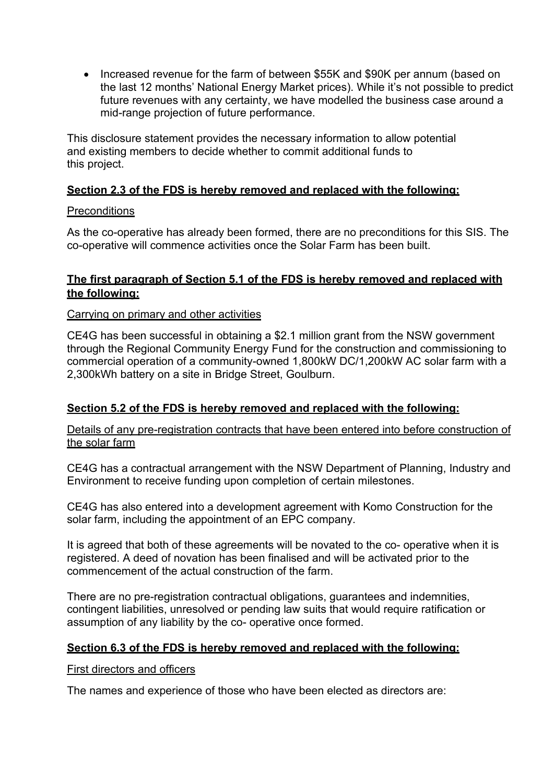• Increased revenue for the farm of between \$55K and \$90K per annum (based on the last 12 months' National Energy Market prices). While it's not possible to predict future revenues with any certainty, we have modelled the business case around a mid-range projection of future performance.

This disclosure statement provides the necessary information to allow potential and existing members to decide whether to commit additional funds to this project.

#### **Section 2.3 of the FDS is hereby removed and replaced with the following:**

#### **Preconditions**

As the co-operative has already been formed, there are no preconditions for this SIS. The co-operative will commence activities once the Solar Farm has been built.

#### **The first paragraph of Section 5.1 of the FDS is hereby removed and replaced with the following:**

#### Carrying on primary and other activities

CE4G has been successful in obtaining a \$2.1 million grant from the NSW government through the Regional Community Energy Fund for the construction and commissioning to commercial operation of a community-owned 1,800kW DC/1,200kW AC solar farm with a 2,300kWh battery on a site in Bridge Street, Goulburn.

#### **Section 5.2 of the FDS is hereby removed and replaced with the following:**

Details of any pre-registration contracts that have been entered into before construction of the solar farm

CE4G has a contractual arrangement with the NSW Department of Planning, Industry and Environment to receive funding upon completion of certain milestones.

CE4G has also entered into a development agreement with Komo Construction for the solar farm, including the appointment of an EPC company.

It is agreed that both of these agreements will be novated to the co- operative when it is registered. A deed of novation has been finalised and will be activated prior to the commencement of the actual construction of the farm.

There are no pre-registration contractual obligations, guarantees and indemnities, contingent liabilities, unresolved or pending law suits that would require ratification or assumption of any liability by the co- operative once formed.

#### **Section 6.3 of the FDS is hereby removed and replaced with the following:**

#### First directors and officers

The names and experience of those who have been elected as directors are: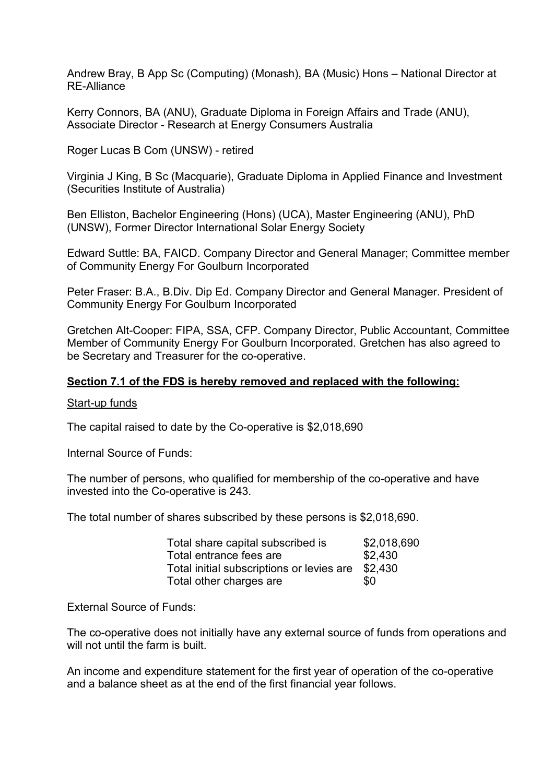Andrew Bray, B App Sc (Computing) (Monash), BA (Music) Hons – National Director at RE-Alliance

Kerry Connors, BA (ANU), Graduate Diploma in Foreign Affairs and Trade (ANU), Associate Director - Research at Energy Consumers Australia

Roger Lucas B Com (UNSW) - retired

Virginia J King, B Sc (Macquarie), Graduate Diploma in Applied Finance and Investment (Securities Institute of Australia)

Ben Elliston, Bachelor Engineering (Hons) (UCA), Master Engineering (ANU), PhD (UNSW), Former Director International Solar Energy Society

Edward Suttle: BA, FAICD. Company Director and General Manager; Committee member of Community Energy For Goulburn Incorporated

Peter Fraser: B.A., B.Div. Dip Ed. Company Director and General Manager. President of Community Energy For Goulburn Incorporated

Gretchen Alt-Cooper: FIPA, SSA, CFP. Company Director, Public Accountant, Committee Member of Community Energy For Goulburn Incorporated. Gretchen has also agreed to be Secretary and Treasurer for the co-operative.

#### **Section 7.1 of the FDS is hereby removed and replaced with the following:**

#### Start-up funds

The capital raised to date by the Co-operative is \$2,018,690

Internal Source of Funds:

The number of persons, who qualified for membership of the co-operative and have invested into the Co-operative is 243.

The total number of shares subscribed by these persons is \$2,018,690.

| Total share capital subscribed is         | \$2,018,690 |
|-------------------------------------------|-------------|
| Total entrance fees are                   | \$2,430     |
| Total initial subscriptions or levies are | \$2.430     |
| Total other charges are                   | \$0         |

External Source of Funds:

The co-operative does not initially have any external source of funds from operations and will not until the farm is built.

An income and expenditure statement for the first year of operation of the co-operative and a balance sheet as at the end of the first financial year follows.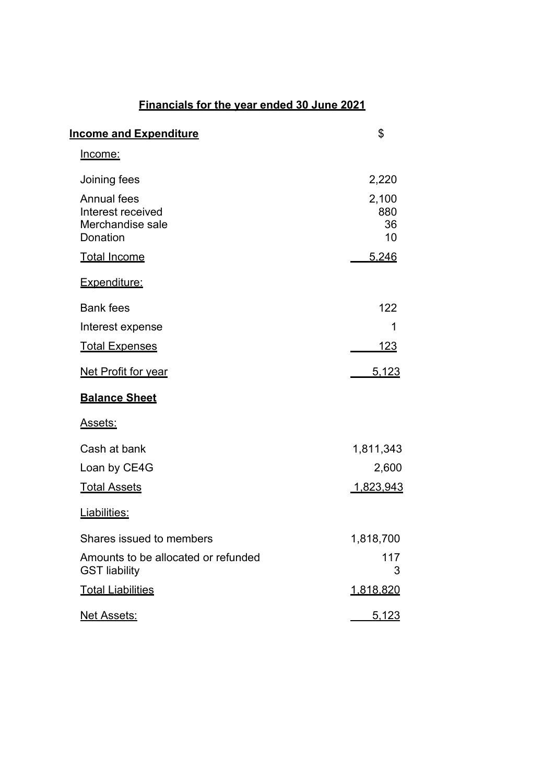### **Financials for the year ended 30 June 2021**

| <b>Income and Expenditure</b>                                           | \$                       |
|-------------------------------------------------------------------------|--------------------------|
| <u>Income:</u>                                                          |                          |
| Joining fees                                                            | 2,220                    |
| <b>Annual fees</b><br>Interest received<br>Merchandise sale<br>Donation | 2,100<br>880<br>36<br>10 |
| <b>Total Income</b>                                                     | 5,246                    |
| Expenditure:                                                            |                          |
| <b>Bank fees</b>                                                        | 122                      |
| Interest expense                                                        | 1                        |
| <b>Total Expenses</b>                                                   | <u> 123 </u>             |
| Net Profit for year                                                     | 5,123                    |
| <b>Balance Sheet</b>                                                    |                          |
| <u>Assets:</u>                                                          |                          |
| Cash at bank                                                            | 1,811,343                |
| Loan by CE4G                                                            | 2,600                    |
| <b>Total Assets</b>                                                     | 1,823,943                |
| Liabilities:                                                            |                          |
| Shares issued to members                                                | 1,818,700                |
| Amounts to be allocated or refunded<br><b>GST liability</b>             | 117<br>3                 |
| <b>Total Liabilities</b>                                                | <u>1,818,820</u>         |
| <b>Net Assets:</b>                                                      | <u>5,123</u>             |